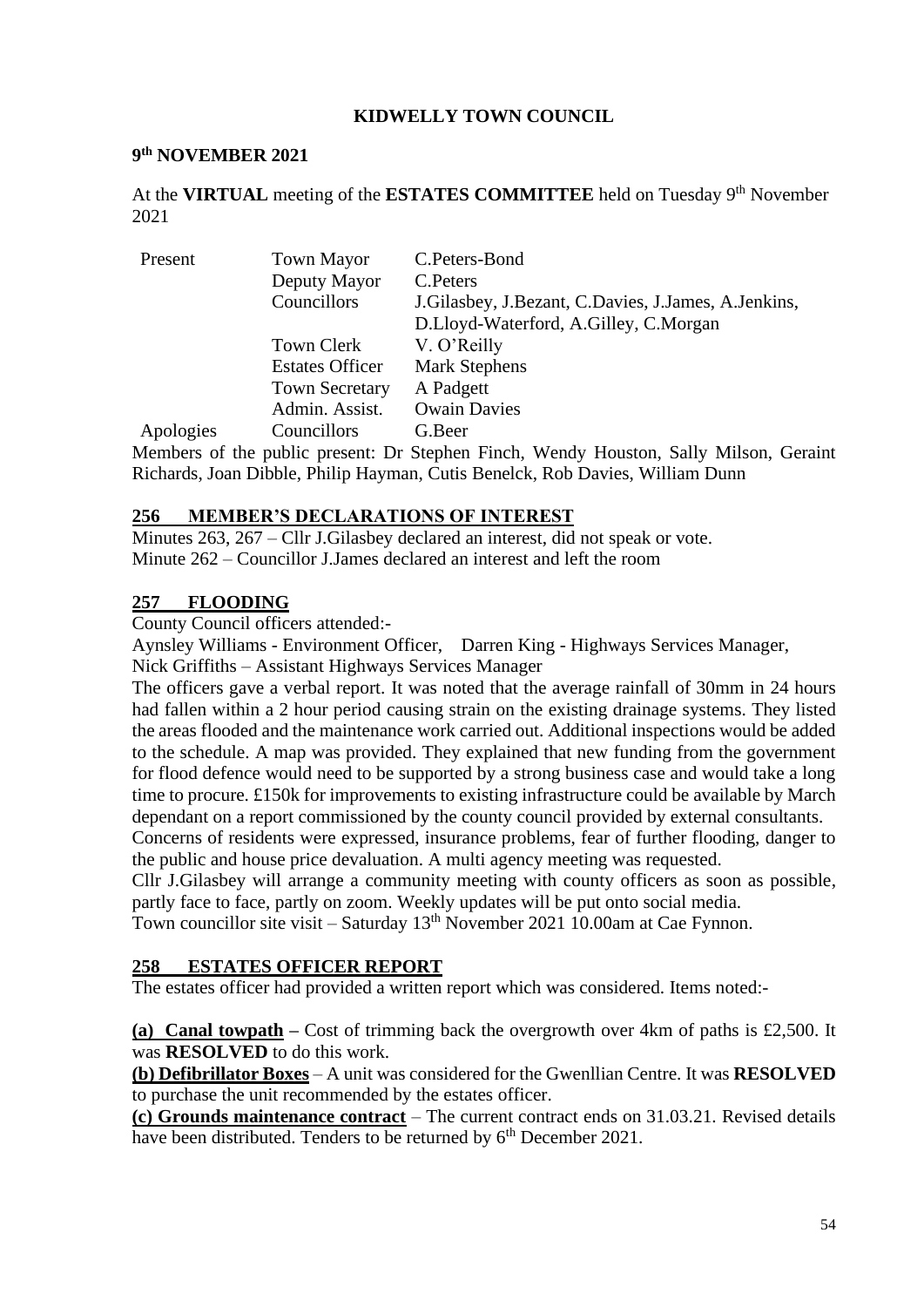### **KIDWELLY TOWN COUNCIL**

#### **9 th NOVEMBER 2021**

At the VIRTUAL meeting of the ESTATES COMMITTEE held on Tuesday 9<sup>th</sup> November 2021

| Present   | <b>Town Mayor</b>      | C.Peters-Bond                                            |
|-----------|------------------------|----------------------------------------------------------|
|           | Deputy Mayor           | C. Peters                                                |
|           | Councillors            | J. Gilasbey, J. Bezant, C. Davies, J. James, A. Jenkins, |
|           |                        | D.Lloyd-Waterford, A.Gilley, C.Morgan                    |
|           | Town Clerk             | V. O'Reilly                                              |
|           | <b>Estates Officer</b> | <b>Mark Stephens</b>                                     |
|           | <b>Town Secretary</b>  | A Padgett                                                |
|           | Admin. Assist.         | <b>Owain Davies</b>                                      |
| Apologies | Councillors            | G.Beer                                                   |

Members of the public present: Dr Stephen Finch, Wendy Houston, Sally Milson, Geraint Richards, Joan Dibble, Philip Hayman, Cutis Benelck, Rob Davies, William Dunn

#### **256 MEMBER'S DECLARATIONS OF INTEREST**

Minutes 263, 267 – Cllr J.Gilasbey declared an interest, did not speak or vote. Minute 262 – Councillor J.James declared an interest and left the room

### **257 FLOODING**

County Council officers attended:-

Aynsley Williams - Environment Officer, Darren King - Highways Services Manager, Nick Griffiths – Assistant Highways Services Manager

The officers gave a verbal report. It was noted that the average rainfall of 30mm in 24 hours had fallen within a 2 hour period causing strain on the existing drainage systems. They listed the areas flooded and the maintenance work carried out. Additional inspections would be added to the schedule. A map was provided. They explained that new funding from the government for flood defence would need to be supported by a strong business case and would take a long time to procure. £150k for improvements to existing infrastructure could be available by March dependant on a report commissioned by the county council provided by external consultants.

Concerns of residents were expressed, insurance problems, fear of further flooding, danger to the public and house price devaluation. A multi agency meeting was requested.

Cllr J.Gilasbey will arrange a community meeting with county officers as soon as possible, partly face to face, partly on zoom. Weekly updates will be put onto social media.

Town councillor site visit – Saturday  $13<sup>th</sup>$  November 2021 10.00am at Cae Fynnon.

#### **258 ESTATES OFFICER REPORT**

The estates officer had provided a written report which was considered. Items noted:-

**(a) Canal towpath –** Cost of trimming back the overgrowth over 4km of paths is £2,500. It was **RESOLVED** to do this work.

**(b) Defibrillator Boxes** – A unit was considered for the Gwenllian Centre. It was **RESOLVED** to purchase the unit recommended by the estates officer.

**(c) Grounds maintenance contract** – The current contract ends on 31.03.21. Revised details have been distributed. Tenders to be returned by 6<sup>th</sup> December 2021.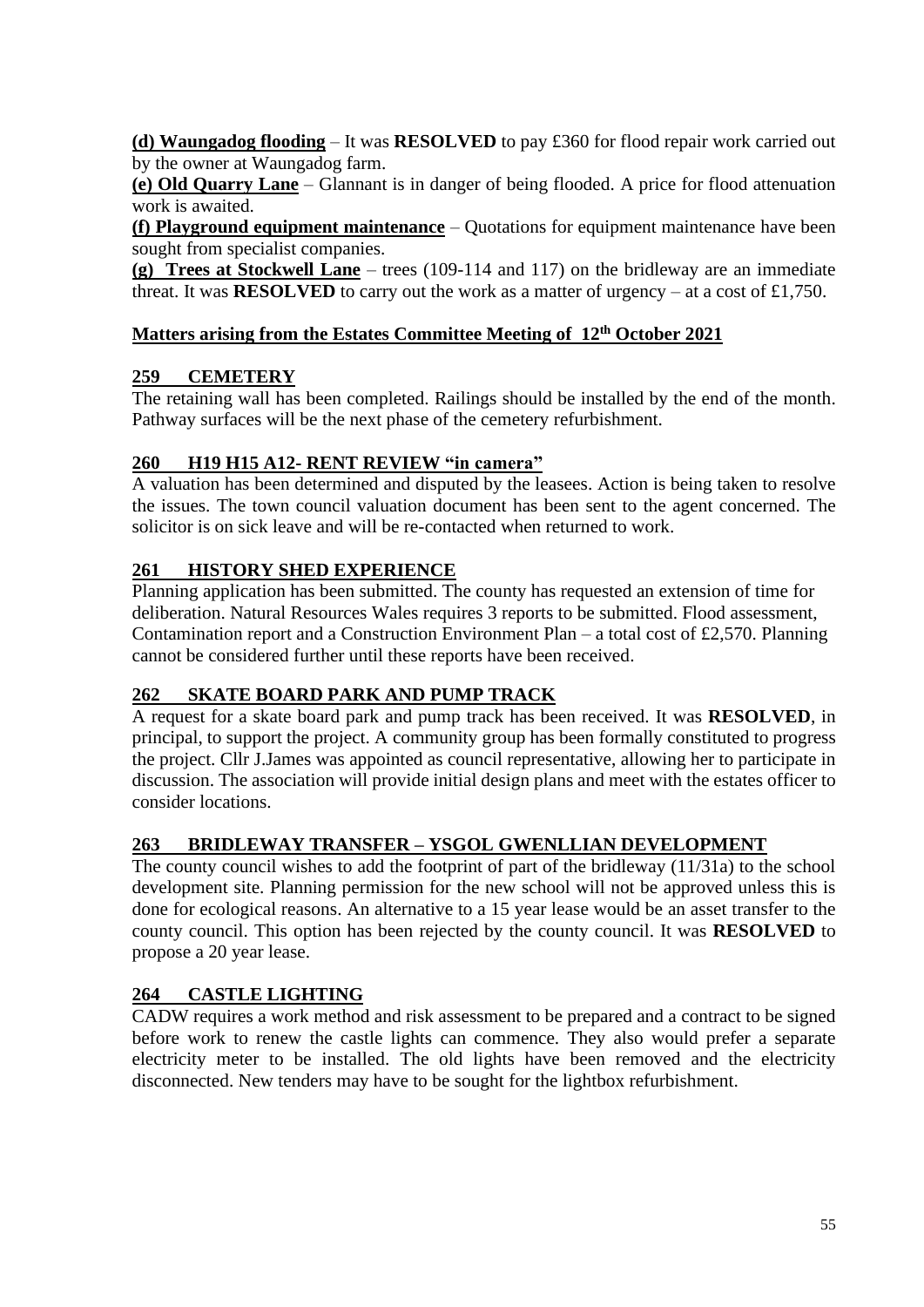**(d) Waungadog flooding** – It was **RESOLVED** to pay £360 for flood repair work carried out by the owner at Waungadog farm.

**(e) Old Quarry Lane** – Glannant is in danger of being flooded. A price for flood attenuation work is awaited.

**(f) Playground equipment maintenance** – Quotations for equipment maintenance have been sought from specialist companies.

**(g) Trees at Stockwell Lane** – trees (109-114 and 117) on the bridleway are an immediate threat. It was **RESOLVED** to carry out the work as a matter of urgency – at a cost of £1,750.

### **Matters arising from the Estates Committee Meeting of 12 th October 2021**

### **259 CEMETERY**

The retaining wall has been completed. Railings should be installed by the end of the month. Pathway surfaces will be the next phase of the cemetery refurbishment.

# **260 H19 H15 A12- RENT REVIEW "in camera"**

A valuation has been determined and disputed by the leasees. Action is being taken to resolve the issues. The town council valuation document has been sent to the agent concerned. The solicitor is on sick leave and will be re-contacted when returned to work.

# **261 HISTORY SHED EXPERIENCE**

Planning application has been submitted. The county has requested an extension of time for deliberation. Natural Resources Wales requires 3 reports to be submitted. Flood assessment, Contamination report and a Construction Environment Plan – a total cost of £2,570. Planning cannot be considered further until these reports have been received.

# **262 SKATE BOARD PARK AND PUMP TRACK**

A request for a skate board park and pump track has been received. It was **RESOLVED**, in principal, to support the project. A community group has been formally constituted to progress the project. Cllr J.James was appointed as council representative, allowing her to participate in discussion. The association will provide initial design plans and meet with the estates officer to consider locations.

# **263 BRIDLEWAY TRANSFER – YSGOL GWENLLIAN DEVELOPMENT**

The county council wishes to add the footprint of part of the bridleway (11/31a) to the school development site. Planning permission for the new school will not be approved unless this is done for ecological reasons. An alternative to a 15 year lease would be an asset transfer to the county council. This option has been rejected by the county council. It was **RESOLVED** to propose a 20 year lease.

# **264 CASTLE LIGHTING**

CADW requires a work method and risk assessment to be prepared and a contract to be signed before work to renew the castle lights can commence. They also would prefer a separate electricity meter to be installed. The old lights have been removed and the electricity disconnected. New tenders may have to be sought for the lightbox refurbishment.